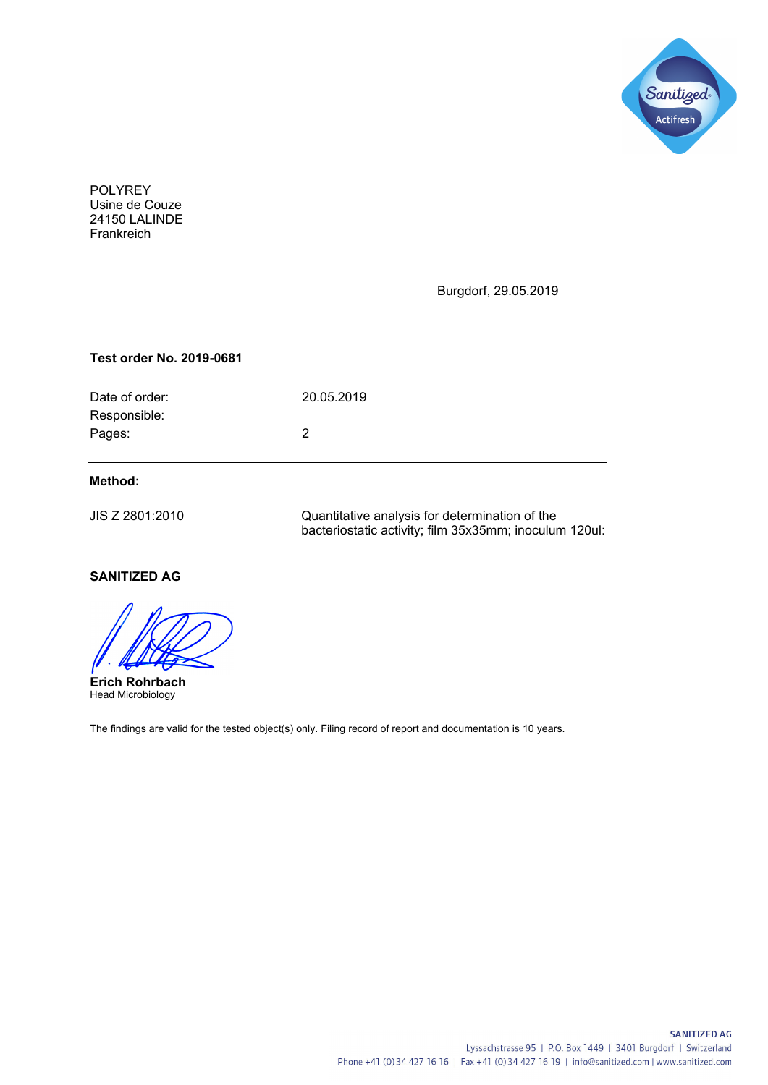

POLYREY Usine de Couze 24150 LALINDE Frankreich

Burgdorf, 29.05.2019

#### **Test order No. 2019-0681**

| Date of order: | 20.05.2019 |
|----------------|------------|
| Responsible:   |            |
| Pages:         |            |
|                |            |
|                |            |

### **Method:**

| JIS Z 2801:2010 | Quantitative analysis for determination of the         |  |
|-----------------|--------------------------------------------------------|--|
|                 | bacteriostatic activity; film 35x35mm; inoculum 120ul: |  |

# **SANITIZED AG**

**Erich Rohrbach** Head Microbiology

The findings are valid for the tested object(s) only. Filing record of report and documentation is 10 years.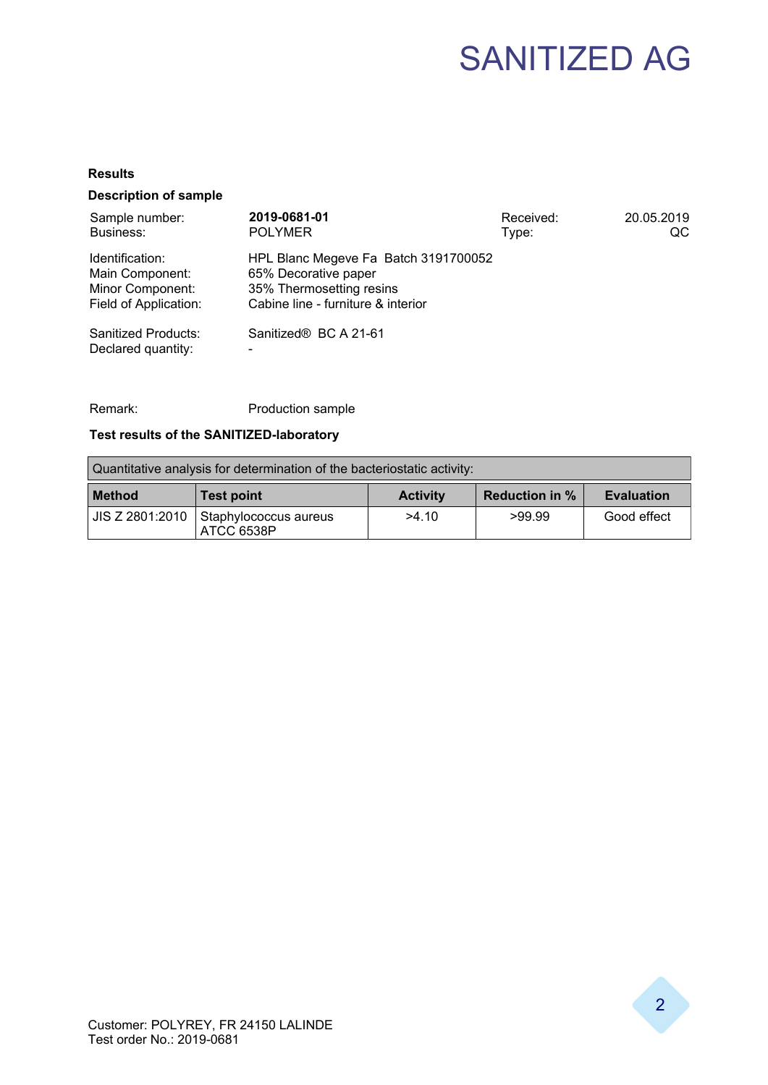# SANITIZED AG

#### **Results**

## **Description of sample**

| Sample number:<br>Business:                                                     | 2019-0681-01<br><b>POLYMER</b>                                                                                                 | Received:<br>Type: | 20.05.2019<br>QC |
|---------------------------------------------------------------------------------|--------------------------------------------------------------------------------------------------------------------------------|--------------------|------------------|
| Identification:<br>Main Component:<br>Minor Component:<br>Field of Application: | HPL Blanc Megeve Fa Batch 3191700052<br>65% Decorative paper<br>35% Thermosetting resins<br>Cabine line - furniture & interior |                    |                  |
| Sanitized Products:<br>Declared quantity:                                       | Sanitized® BC A 21-61                                                                                                          |                    |                  |

Remark: Production sample

# **Test results of the SANITIZED-laboratory**

| Quantitative analysis for determination of the bacteriostatic activity: |                                                       |                 |                       |                   |
|-------------------------------------------------------------------------|-------------------------------------------------------|-----------------|-----------------------|-------------------|
| <b>Method</b>                                                           | <b>Test point</b>                                     | <b>Activity</b> | <b>Reduction in %</b> | <b>Evaluation</b> |
|                                                                         | JIS Z 2801:2010   Staphylococcus aureus<br>ATCC 6538P | >4.10           | >99.99                | Good effect       |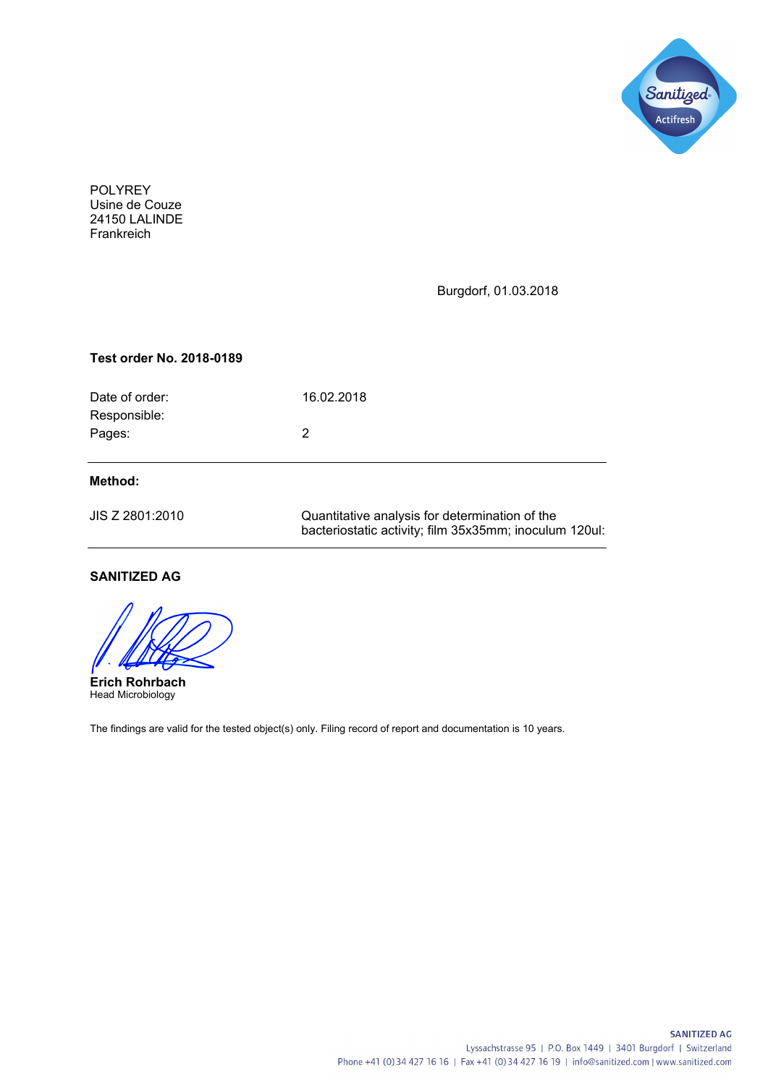

POLYREY Usine de Couze 24150 LALINDE Frankreich

Burgdorf, 01.03.2018

#### **Test order No. 2018-0189**

| Date of order: | 16.02.2018 |
|----------------|------------|
| Responsible:   |            |
| Pages:         | 2          |
|                |            |
|                |            |

### **Method:**

| JIS Z 2801:2010 | Quantitative analysis for determination of the         |  |  |
|-----------------|--------------------------------------------------------|--|--|
|                 | bacteriostatic activity; film 35x35mm; inoculum 120ul: |  |  |

# **SANITIZED AG**

**Erich Rohrbach** Head Microbiology

The findings are valid for the tested object(s) only. Filing record of report and documentation is 10 years.